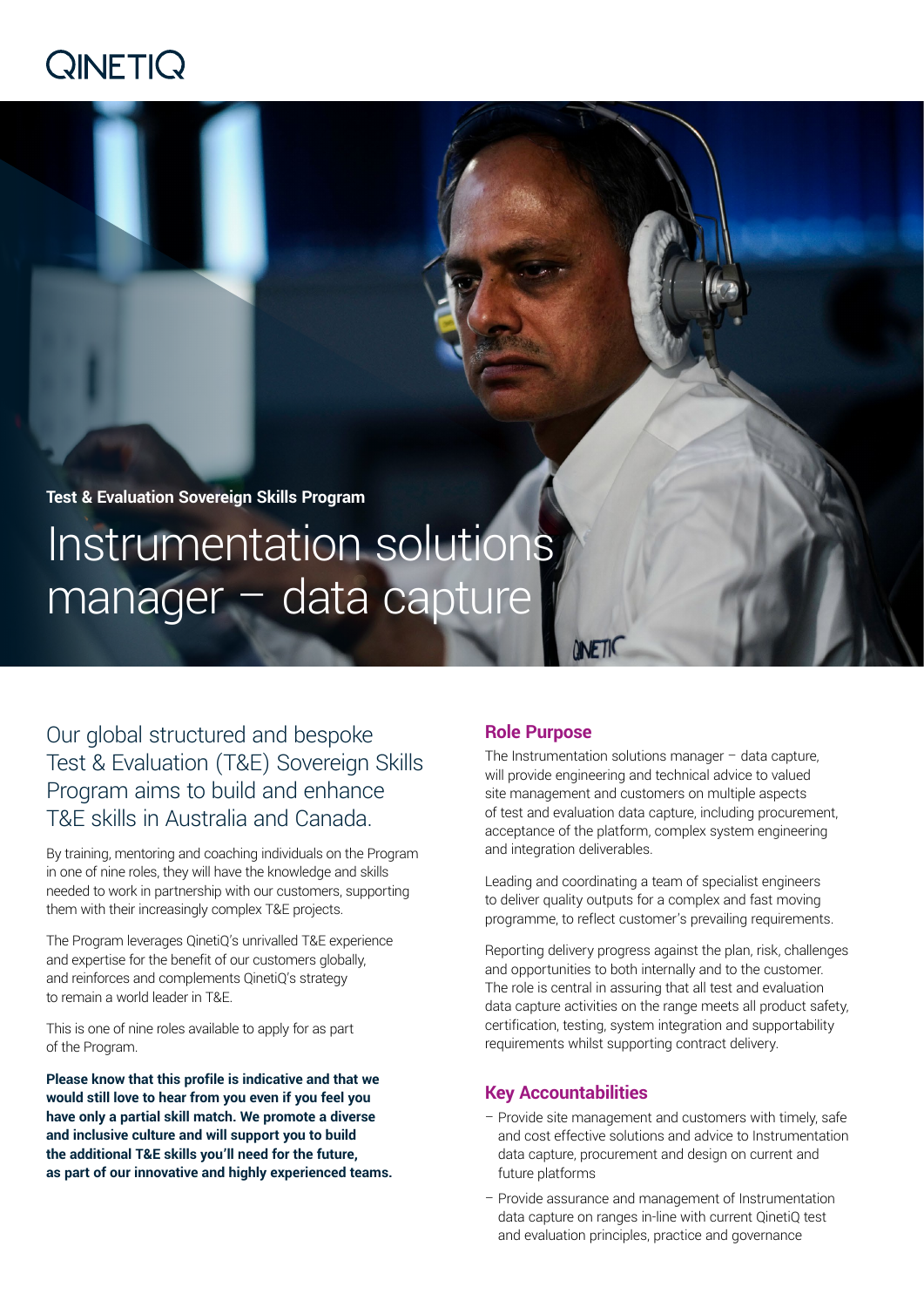# QINETIQ

**Test & Evaluation Sovereign Skills Program** Instrumentation solutions manager – data capture

Our global structured and bespoke Test & Evaluation (T&E) Sovereign Skills Program aims to build and enhance T&E skills in Australia and Canada.

By training, mentoring and coaching individuals on the Program in one of nine roles, they will have the knowledge and skills needed to work in partnership with our customers, supporting them with their increasingly complex T&E projects.

The Program leverages QinetiQ's unrivalled T&E experience and expertise for the benefit of our customers globally, and reinforces and complements QinetiQ's strategy to remain a world leader in T&E.

This is one of nine roles available to apply for as part of the Program.

**Please know that this profile is indicative and that we would still love to hear from you even if you feel you have only a partial skill match. We promote a diverse and inclusive culture and will support you to build the additional T&E skills you'll need for the future, as part of our innovative and highly experienced teams.**

# **Role Purpose**

The Instrumentation solutions manager  $-$  data capture, will provide engineering and technical advice to valued site management and customers on multiple aspects of test and evaluation data capture, including procurement, acceptance of the platform, complex system engineering and integration deliverables.

Leading and coordinating a team of specialist engineers to deliver quality outputs for a complex and fast moving programme, to reflect customer's prevailing requirements.

Reporting delivery progress against the plan, risk, challenges and opportunities to both internally and to the customer. The role is central in assuring that all test and evaluation data capture activities on the range meets all product safety, certification, testing, system integration and supportability requirements whilst supporting contract delivery.

# **Key Accountabilities**

- Provide site management and customers with timely, safe and cost effective solutions and advice to Instrumentation data capture, procurement and design on current and future platforms
- Provide assurance and management of Instrumentation data capture on ranges in-line with current QinetiQ test and evaluation principles, practice and governance